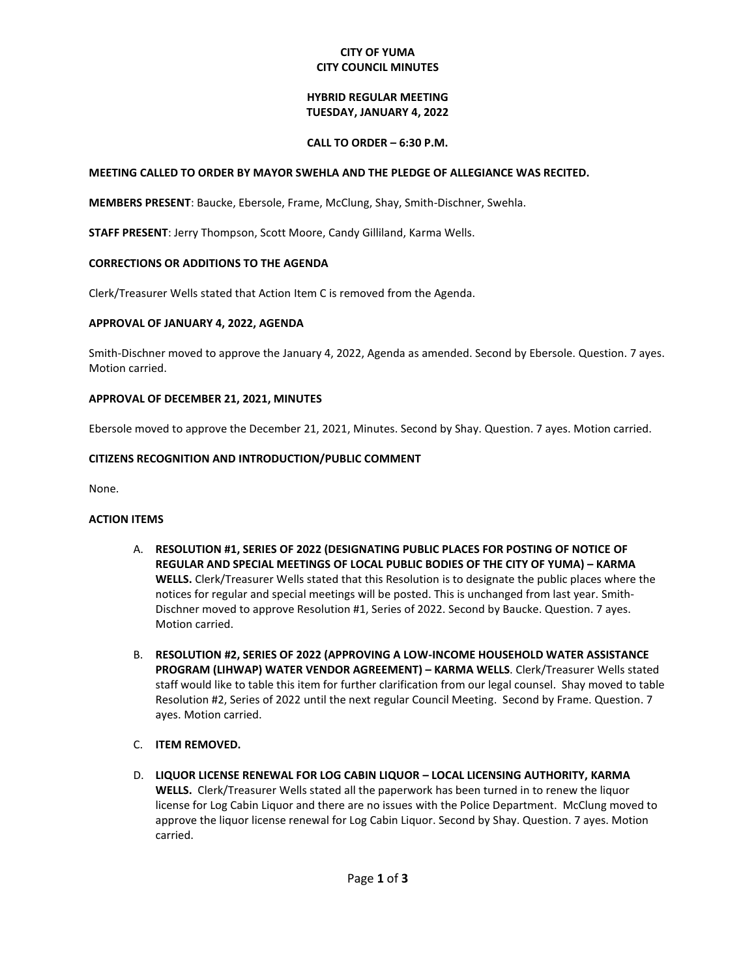#### **CITY OF YUMA CITY COUNCIL MINUTES**

#### **HYBRID REGULAR MEETING TUESDAY, JANUARY 4, 2022**

#### **CALL TO ORDER – 6:30 P.M.**

#### **MEETING CALLED TO ORDER BY MAYOR SWEHLA AND THE PLEDGE OF ALLEGIANCE WAS RECITED.**

**MEMBERS PRESENT**: Baucke, Ebersole, Frame, McClung, Shay, Smith-Dischner, Swehla.

**STAFF PRESENT**: Jerry Thompson, Scott Moore, Candy Gilliland, Karma Wells.

## **CORRECTIONS OR ADDITIONS TO THE AGENDA**

Clerk/Treasurer Wells stated that Action Item C is removed from the Agenda.

## **APPROVAL OF JANUARY 4, 2022, AGENDA**

Smith-Dischner moved to approve the January 4, 2022, Agenda as amended. Second by Ebersole. Question. 7 ayes. Motion carried.

## **APPROVAL OF DECEMBER 21, 2021, MINUTES**

Ebersole moved to approve the December 21, 2021, Minutes. Second by Shay. Question. 7 ayes. Motion carried.

## **CITIZENS RECOGNITION AND INTRODUCTION/PUBLIC COMMENT**

None.

#### **ACTION ITEMS**

- A. **RESOLUTION #1, SERIES OF 2022 (DESIGNATING PUBLIC PLACES FOR POSTING OF NOTICE OF REGULAR AND SPECIAL MEETINGS OF LOCAL PUBLIC BODIES OF THE CITY OF YUMA) – KARMA WELLS.** Clerk/Treasurer Wells stated that this Resolution is to designate the public places where the notices for regular and special meetings will be posted. This is unchanged from last year. Smith-Dischner moved to approve Resolution #1, Series of 2022. Second by Baucke. Question. 7 ayes. Motion carried.
- B. **RESOLUTION #2, SERIES OF 2022 (APPROVING A LOW-INCOME HOUSEHOLD WATER ASSISTANCE PROGRAM (LIHWAP) WATER VENDOR AGREEMENT) – KARMA WELLS**. Clerk/Treasurer Wells stated staff would like to table this item for further clarification from our legal counsel. Shay moved to table Resolution #2, Series of 2022 until the next regular Council Meeting. Second by Frame. Question. 7 ayes. Motion carried.
- C. **ITEM REMOVED.**
- D. **LIQUOR LICENSE RENEWAL FOR LOG CABIN LIQUOR – LOCAL LICENSING AUTHORITY, KARMA WELLS.** Clerk/Treasurer Wells stated all the paperwork has been turned in to renew the liquor license for Log Cabin Liquor and there are no issues with the Police Department. McClung moved to approve the liquor license renewal for Log Cabin Liquor. Second by Shay. Question. 7 ayes. Motion carried.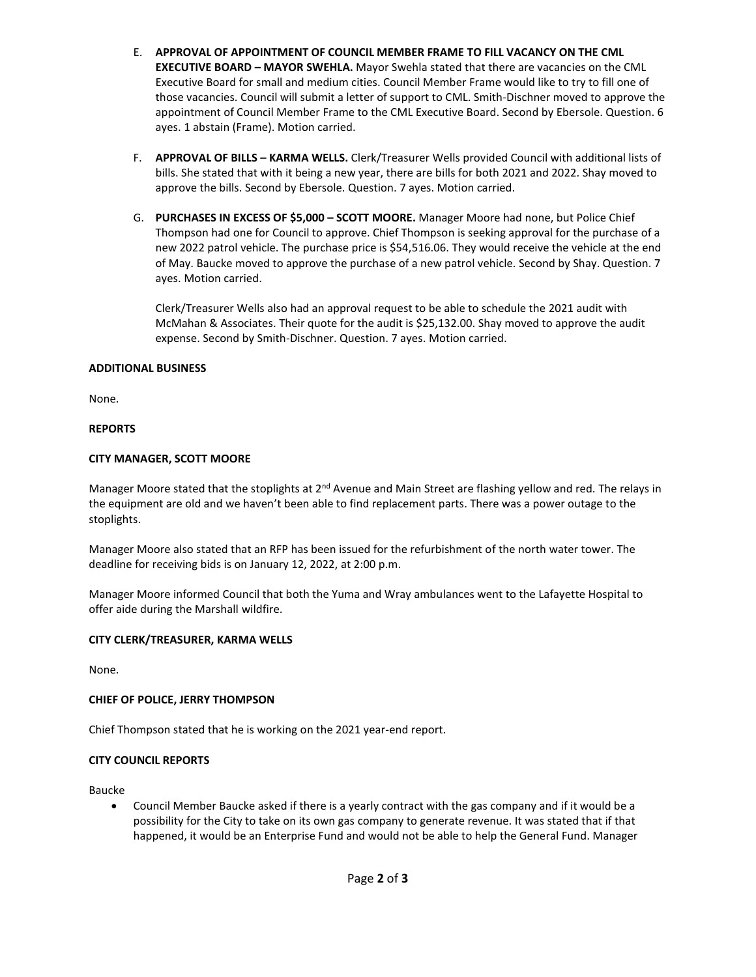- E. **APPROVAL OF APPOINTMENT OF COUNCIL MEMBER FRAME TO FILL VACANCY ON THE CML EXECUTIVE BOARD – MAYOR SWEHLA.** Mayor Swehla stated that there are vacancies on the CML Executive Board for small and medium cities. Council Member Frame would like to try to fill one of those vacancies. Council will submit a letter of support to CML. Smith-Dischner moved to approve the appointment of Council Member Frame to the CML Executive Board. Second by Ebersole. Question. 6 ayes. 1 abstain (Frame). Motion carried.
- F. **APPROVAL OF BILLS – KARMA WELLS.** Clerk/Treasurer Wells provided Council with additional lists of bills. She stated that with it being a new year, there are bills for both 2021 and 2022. Shay moved to approve the bills. Second by Ebersole. Question. 7 ayes. Motion carried.
- G. **PURCHASES IN EXCESS OF \$5,000 – SCOTT MOORE.** Manager Moore had none, but Police Chief Thompson had one for Council to approve. Chief Thompson is seeking approval for the purchase of a new 2022 patrol vehicle. The purchase price is \$54,516.06. They would receive the vehicle at the end of May. Baucke moved to approve the purchase of a new patrol vehicle. Second by Shay. Question. 7 ayes. Motion carried.

Clerk/Treasurer Wells also had an approval request to be able to schedule the 2021 audit with McMahan & Associates. Their quote for the audit is \$25,132.00. Shay moved to approve the audit expense. Second by Smith-Dischner. Question. 7 ayes. Motion carried.

## **ADDITIONAL BUSINESS**

None.

## **REPORTS**

## **CITY MANAGER, SCOTT MOORE**

Manager Moore stated that the stoplights at 2<sup>nd</sup> Avenue and Main Street are flashing yellow and red. The relays in the equipment are old and we haven't been able to find replacement parts. There was a power outage to the stoplights.

Manager Moore also stated that an RFP has been issued for the refurbishment of the north water tower. The deadline for receiving bids is on January 12, 2022, at 2:00 p.m.

Manager Moore informed Council that both the Yuma and Wray ambulances went to the Lafayette Hospital to offer aide during the Marshall wildfire.

#### **CITY CLERK/TREASURER, KARMA WELLS**

None.

#### **CHIEF OF POLICE, JERRY THOMPSON**

Chief Thompson stated that he is working on the 2021 year-end report.

## **CITY COUNCIL REPORTS**

Baucke

• Council Member Baucke asked if there is a yearly contract with the gas company and if it would be a possibility for the City to take on its own gas company to generate revenue. It was stated that if that happened, it would be an Enterprise Fund and would not be able to help the General Fund. Manager